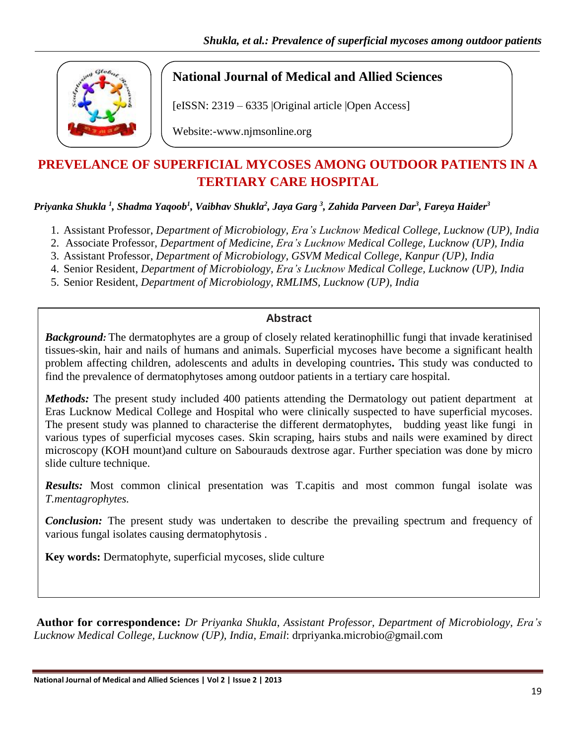

## **National Journal of Medical and Allied Sciences**

[eISSN: 2319 – 6335 |Original article |Open Access]

Website:-www.njmsonline.org

# **PREVELANCE OF SUPERFICIAL MYCOSES AMONG OUTDOOR PATIENTS IN A TERTIARY CARE HOSPITAL**

*Priyanka Shukla <sup>1</sup> , Shadma Yaqoob<sup>1</sup> , Vaibhav Shukla<sup>2</sup> , Jaya Garg <sup>3</sup> , Zahida Parveen Dar<sup>3</sup> , Fareya Haider<sup>3</sup>*

- 1. Assistant Professor, *Department of Microbiology, Era's Lucknow Medical College, Lucknow (UP), India*
- 2. Associate Professor, *Department of Medicine, Era's Lucknow Medical College, Lucknow (UP), India*
- 3. Assistant Professor, *Department of Microbiology, GSVM Medical College, Kanpur (UP), India*
- 4. Senior Resident, *Department of Microbiology, Era's Lucknow Medical College, Lucknow (UP), India*
- 5. Senior Resident, *Department of Microbiology, RMLIMS, Lucknow (UP), India*

### **Abstract**

*Background:* The dermatophytes are a group of closely related keratinophillic fungi that invade keratinised tissues-skin, hair and nails of humans and animals. Superficial mycoses have become a significant health problem affecting children, adolescents and adults in developing countries**.** This study was conducted to find the prevalence of dermatophytoses among outdoor patients in a tertiary care hospital.

*Methods:* The present study included 400 patients attending the Dermatology out patient department at Eras Lucknow Medical College and Hospital who were clinically suspected to have superficial mycoses. The present study was planned to characterise the different dermatophytes, budding yeast like fungi in various types of superficial mycoses cases. Skin scraping, hairs stubs and nails were examined by direct microscopy (KOH mount)and culture on Sabourauds dextrose agar. Further speciation was done by micro slide culture technique.

*Results:* Most common clinical presentation was T.capitis and most common fungal isolate was *T.mentagrophytes.*

*Conclusion:* The present study was undertaken to describe the prevailing spectrum and frequency of various fungal isolates causing dermatophytosis .

**Key words:** Dermatophyte, superficial mycoses, slide culture

**Author for correspondence:** *Dr Priyanka Shukla*, *Assistant Professor, Department of Microbiology, Era's Lucknow Medical College, Lucknow (UP), India*, *Email*: drpriyanka.microbio@gmail.com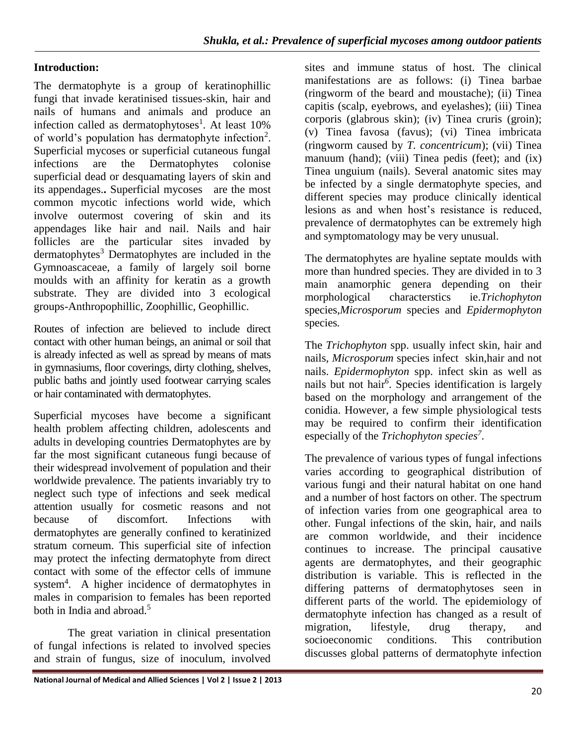## **Introduction:**

The dermatophyte is a group of keratinophillic fungi that invade keratinised tissues-skin, hair and nails of humans and animals and produce an infection called as dermatophytoses<sup>1</sup>. At least 10% of world's population has dermatophyte infection<sup>2</sup>. Superficial mycoses or superficial cutaneous fungal infections are the Dermatophytes colonise superficial dead or desquamating layers of skin and its appendages.**.** Superficial mycoses are the most common mycotic infections world wide, which involve outermost covering of skin and its appendages like hair and nail. Nails and hair follicles are the particular sites invaded by  $d$ ermatophytes<sup>3</sup> Dermatophytes are included in the Gymnoascaceae, a family of largely soil borne moulds with an affinity for keratin as a growth substrate. They are divided into 3 ecological groups-Anthropophillic, Zoophillic, Geophillic.

Routes of infection are believed to include direct contact with other human beings, an animal or soil that is already infected as well as spread by means of mats in gymnasiums, floor coverings, dirty clothing, shelves, public baths and jointly used footwear carrying scales or hair contaminated with dermatophytes.

Superficial mycoses have become a significant health problem affecting children, adolescents and adults in developing countries Dermatophytes are by far the most significant cutaneous fungi because of their widespread involvement of population and their worldwide prevalence. The patients invariably try to neglect such type of infections and seek medical attention usually for cosmetic reasons and not because of discomfort. Infections with dermatophytes are generally confined to keratinized stratum corneum. This superficial site of infection may protect the infecting dermatophyte from direct contact with some of the effector cells of immune system<sup>4</sup>. A higher incidence of dermatophytes in males in comparision to females has been reported both in India and abroad.<sup>5</sup>

The great variation in clinical presentation of fungal infections is related to involved species and strain of fungus, size of inoculum, involved

sites and immune status of host. The clinical manifestations are as follows: (i) Tinea barbae (ringworm of the beard and moustache); (ii) Tinea capitis (scalp, eyebrows, and eyelashes); (iii) Tinea corporis (glabrous skin); (iv) Tinea cruris (groin); (v) Tinea favosa (favus); (vi) Tinea imbricata (ringworm caused by *T. concentricum*); (vii) Tinea manuum (hand); (viii) Tinea pedis (feet); and (ix) Tinea unguium (nails). Several anatomic sites may be infected by a single dermatophyte species, and different species may produce clinically identical lesions as and when host's resistance is reduced, prevalence of dermatophytes can be extremely high and symptomatology may be very unusual.

The dermatophytes are hyaline septate moulds with more than hundred species. They are divided in to 3 main anamorphic genera depending on their morphological characterstics ie.*Trichophyton* species*,Microsporum* species and *Epidermophyton*  species*.*

The *Trichophyton* spp. usually infect skin, hair and nails, *Microsporum* species infect skin,hair and not nails. *Epidermophyton* spp. infect skin as well as nails but not hair<sup>6</sup>. Species identification is largely based on the morphology and arrangement of the conidia. However, a few simple physiological tests may be required to confirm their identification especially of the *Trichophyton species<sup>7</sup>* .

The prevalence of various types of fungal infections varies according to geographical distribution of various fungi and their natural habitat on one hand and a number of host factors on other. The spectrum of infection varies from one geographical area to other. Fungal infections of the skin, hair, and nails are common worldwide, and their incidence continues to increase. The principal causative agents are dermatophytes, and their geographic distribution is variable. This is reflected in the differing patterns of dermatophytoses seen in different parts of the world. The epidemiology of dermatophyte infection has changed as a result of migration, lifestyle, drug therapy, and socioeconomic conditions. This contribution discusses global patterns of dermatophyte infection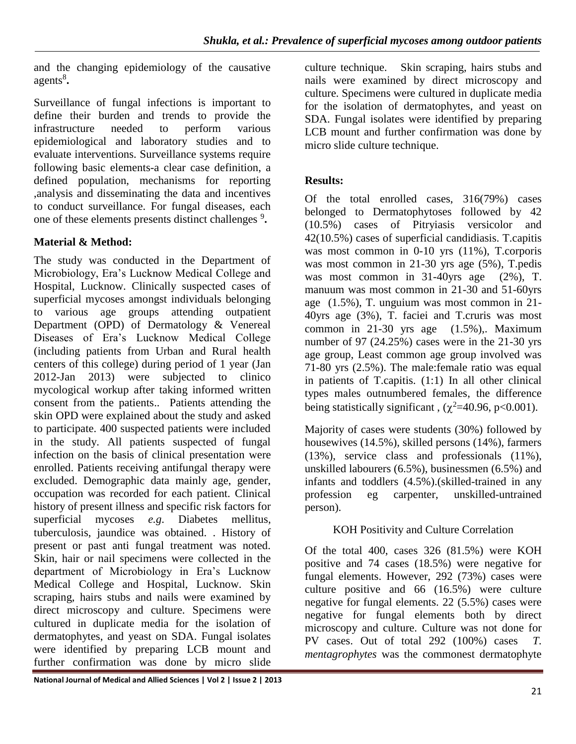and the changing epidemiology of the causative agents<sup>8</sup>.

Surveillance of fungal infections is important to define their burden and trends to provide the infrastructure needed to perform various epidemiological and laboratory studies and to evaluate interventions. Surveillance systems require following basic elements-a clear case definition, a defined population, mechanisms for reporting ,analysis and disseminating the data and incentives to conduct surveillance. For fungal diseases, each one of these elements presents distinct challenges <sup>9</sup>.

## **Material & Method:**

The study was conducted in the Department of Microbiology, Era's Lucknow Medical College and Hospital, Lucknow. Clinically suspected cases of superficial mycoses amongst individuals belonging to various age groups attending outpatient Department (OPD) of Dermatology & Venereal Diseases of Era's Lucknow Medical College (including patients from Urban and Rural health centers of this college) during period of 1 year (Jan 2012-Jan 2013) were subjected to clinico mycological workup after taking informed written consent from the patients.. Patients attending the skin OPD were explained about the study and asked to participate. 400 suspected patients were included in the study. All patients suspected of fungal infection on the basis of clinical presentation were enrolled. Patients receiving antifungal therapy were excluded. Demographic data mainly age, gender, occupation was recorded for each patient. Clinical history of present illness and specific risk factors for superficial mycoses *e.g*. Diabetes mellitus, tuberculosis, jaundice was obtained. . History of present or past anti fungal treatment was noted. Skin, hair or nail specimens were collected in the department of Microbiology in Era's Lucknow Medical College and Hospital, Lucknow. Skin scraping, hairs stubs and nails were examined by direct microscopy and culture. Specimens were cultured in duplicate media for the isolation of dermatophytes, and yeast on SDA. Fungal isolates were identified by preparing LCB mount and further confirmation was done by micro slide

culture technique. Skin scraping, hairs stubs and nails were examined by direct microscopy and culture. Specimens were cultured in duplicate media for the isolation of dermatophytes, and yeast on SDA. Fungal isolates were identified by preparing LCB mount and further confirmation was done by micro slide culture technique.

## **Results:**

Of the total enrolled cases, 316(79%) cases belonged to Dermatophytoses followed by 42 (10.5%) cases of Pitryiasis versicolor and 42(10.5%) cases of superficial candidiasis. T.capitis was most common in 0-10 yrs (11%), T.corporis was most common in 21-30 yrs age (5%), T.pedis was most common in 31-40yrs age (2%), T. manuum was most common in 21-30 and 51-60yrs age (1.5%), T. unguium was most common in 21- 40yrs age (3%), T. faciei and T.cruris was most common in  $21-30$  yrs age  $(1.5\%)$ , Maximum number of 97 (24.25%) cases were in the 21-30 yrs age group, Least common age group involved was 71-80 yrs (2.5%). The male:female ratio was equal in patients of T.capitis. (1:1) In all other clinical types males outnumbered females, the difference being statistically significant,  $(\chi^2=40.96, \text{ p}<0.001)$ .

Majority of cases were students (30%) followed by housewives (14.5%), skilled persons (14%), farmers (13%), service class and professionals (11%), unskilled labourers (6.5%), businessmen (6.5%) and infants and toddlers (4.5%).(skilled-trained in any profession eg carpenter, unskilled-untrained person).

## KOH Positivity and Culture Correlation

Of the total 400, cases 326 (81.5%) were KOH positive and 74 cases (18.5%) were negative for fungal elements. However, 292 (73%) cases were culture positive and 66 (16.5%) were culture negative for fungal elements. 22 (5.5%) cases were negative for fungal elements both by direct microscopy and culture. Culture was not done for PV cases. Out of total 292 (100%) cases *T. mentagrophytes* was the commonest dermatophyte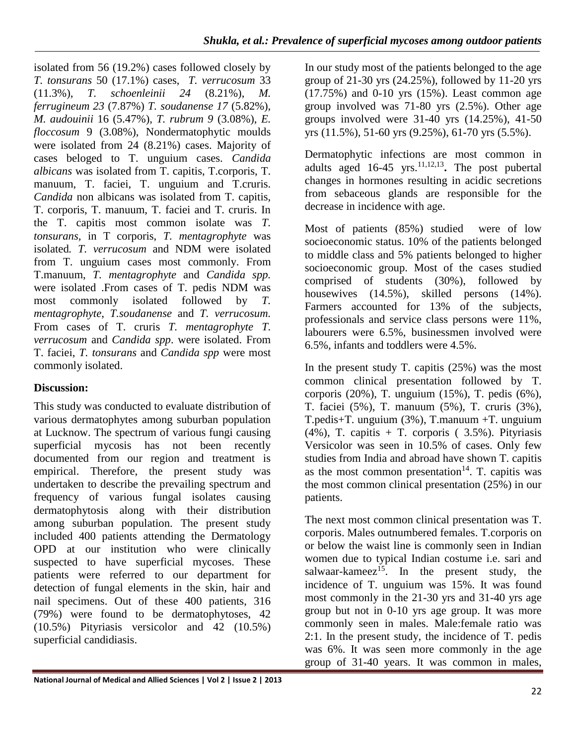isolated from 56 (19.2%) cases followed closely by *T. tonsurans* 50 (17.1%) cases, *T. verrucosum* 33 (11.3%), *T. schoenleinii 24* (8.21%), *M. ferrugineum 23* (7.87%) *T. soudanense 17* (5.82%), *M. audouinii* 16 (5.47%), *T. rubrum 9* (3.08%), *E. floccosum* 9 (3.08%), Nondermatophytic moulds were isolated from 24 (8.21%) cases. Majority of cases beloged to T. unguium cases. *Candida albicans* was isolated from T. capitis, T.corporis, T. manuum, T. faciei, T. unguium and T.cruris. *Candida* non albicans was isolated from T. capitis, T. corporis, T. manuum, T. faciei and T. cruris. In the T. capitis most common isolate was *T. tonsurans,* in T corporis, *T. mentagrophyte* was isolated*. T. verrucosum* and NDM were isolated from T. unguium cases most commonly. From T.manuum, *T. mentagrophyte* and *Candida spp.*  were isolated .From cases of T. pedis NDM was most commonly isolated followed by *T. mentagrophyte*, *T.soudanense* and *T. verrucosum.*  From cases of T. cruris *T. mentagrophyte T. verrucosum* and *Candida spp*. were isolated. From T. faciei, *T. tonsurans* and *Candida spp* were most commonly isolated.

## **Discussion:**

This study was conducted to evaluate distribution of various dermatophytes among suburban population at Lucknow. The spectrum of various fungi causing superficial mycosis has not been recently documented from our region and treatment is empirical. Therefore, the present study was undertaken to describe the prevailing spectrum and frequency of various fungal isolates causing dermatophytosis along with their distribution among suburban population. The present study included 400 patients attending the Dermatology OPD at our institution who were clinically suspected to have superficial mycoses. These patients were referred to our department for detection of fungal elements in the skin, hair and nail specimens. Out of these 400 patients, 316 (79%) were found to be dermatophytoses, 42 (10.5%) Pityriasis versicolor and 42 (10.5%) superficial candidiasis.

In our study most of the patients belonged to the age group of 21-30 yrs (24.25%), followed by 11-20 yrs (17.75%) and 0-10 yrs (15%). Least common age group involved was 71-80 yrs (2.5%). Other age groups involved were 31-40 yrs (14.25%), 41-50 yrs (11.5%), 51-60 yrs (9.25%), 61-70 yrs (5.5%).

Dermatophytic infections are most common in adults aged  $16-45$  yrs.<sup>11,12,13</sup>. The post pubertal changes in hormones resulting in acidic secretions from sebaceous glands are responsible for the decrease in incidence with age.

Most of patients (85%) studied were of low socioeconomic status. 10% of the patients belonged to middle class and 5% patients belonged to higher socioeconomic group. Most of the cases studied comprised of students (30%), followed by housewives  $(14.5\%)$ , skilled persons  $(14\%)$ . Farmers accounted for 13% of the subjects, professionals and service class persons were 11%, labourers were 6.5%, businessmen involved were 6.5%, infants and toddlers were 4.5%.

In the present study T. capitis  $(25%)$  was the most common clinical presentation followed by T. corporis (20%), T. unguium (15%), T. pedis (6%), T. faciei (5%), T. manuum (5%), T. cruris (3%), T.pedis+T. unguium (3%), T.manuum +T. unguium  $(4\%)$ , T. capitis + T. corporis (3.5%). Pityriasis Versicolor was seen in 10.5% of cases. Only few studies from India and abroad have shown T. capitis as the most common presentation<sup>14</sup>. T. capitis was the most common clinical presentation (25%) in our patients.

The next most common clinical presentation was T. corporis. Males outnumbered females. T.corporis on or below the waist line is commonly seen in Indian women due to typical Indian costume i.e. sari and salwaar-kameez<sup>15</sup>. In the present study, the incidence of T. unguium was 15%. It was found most commonly in the 21-30 yrs and 31-40 yrs age group but not in 0-10 yrs age group. It was more commonly seen in males. Male:female ratio was 2:1. In the present study, the incidence of T. pedis was 6%. It was seen more commonly in the age group of 31-40 years. It was common in males,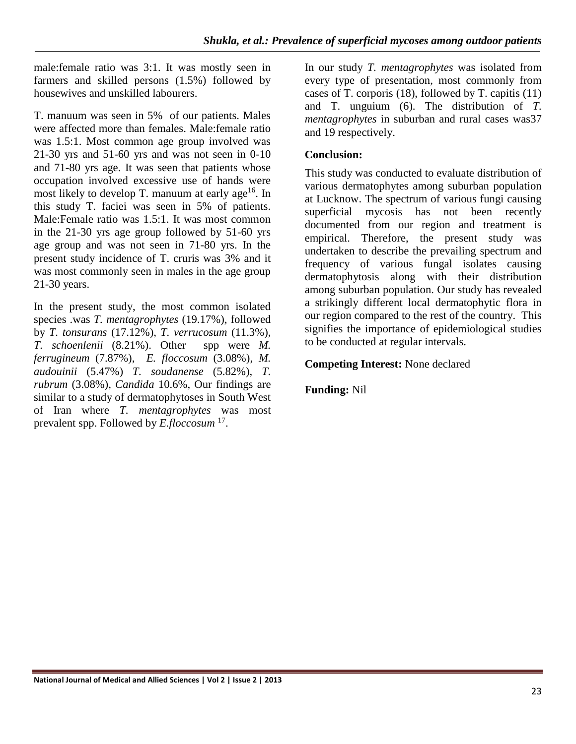male:female ratio was 3:1. It was mostly seen in farmers and skilled persons (1.5%) followed by housewives and unskilled labourers.

T. manuum was seen in 5% of our patients. Males were affected more than females. Male:female ratio was 1.5:1. Most common age group involved was 21-30 yrs and 51-60 yrs and was not seen in 0-10 and 71-80 yrs age. It was seen that patients whose occupation involved excessive use of hands were most likely to develop T. manuum at early age<sup>16</sup>. In this study T. faciei was seen in 5% of patients. Male:Female ratio was 1.5:1. It was most common in the 21-30 yrs age group followed by 51-60 yrs age group and was not seen in 71-80 yrs. In the present study incidence of T. cruris was 3% and it was most commonly seen in males in the age group 21-30 years.

In the present study, the most common isolated species .was *T. mentagrophytes* (19.17%), followed by *T. tonsurans* (17.12%), *T. verrucosum* (11.3%), *T. schoenlenii* (8.21%). Other spp were *M. ferrugineum* (7.87%), *E. floccosum* (3.08%), *M. audouinii* (5.47%) *T. soudanense* (5.82%), *T. rubrum* (3.08%), *Candida* 10.6%, Our findings are similar to a study of dermatophytoses in South West of Iran where *T. mentagrophytes* was most prevalent spp. Followed by *E.floccosum* <sup>17</sup> .

In our study *T. mentagrophytes* was isolated from every type of presentation, most commonly from cases of T. corporis (18), followed by T. capitis (11) and T. unguium (6). The distribution of *T. mentagrophytes* in suburban and rural cases was37 and 19 respectively.

## **Conclusion:**

This study was conducted to evaluate distribution of various dermatophytes among suburban population at Lucknow. The spectrum of various fungi causing superficial mycosis has not been recently documented from our region and treatment is empirical. Therefore, the present study was undertaken to describe the prevailing spectrum and frequency of various fungal isolates causing dermatophytosis along with their distribution among suburban population. Our study has revealed a strikingly different local dermatophytic flora in our region compared to the rest of the country. This signifies the importance of epidemiological studies to be conducted at regular intervals.

### **Competing Interest:** None declared

### **Funding:** Nil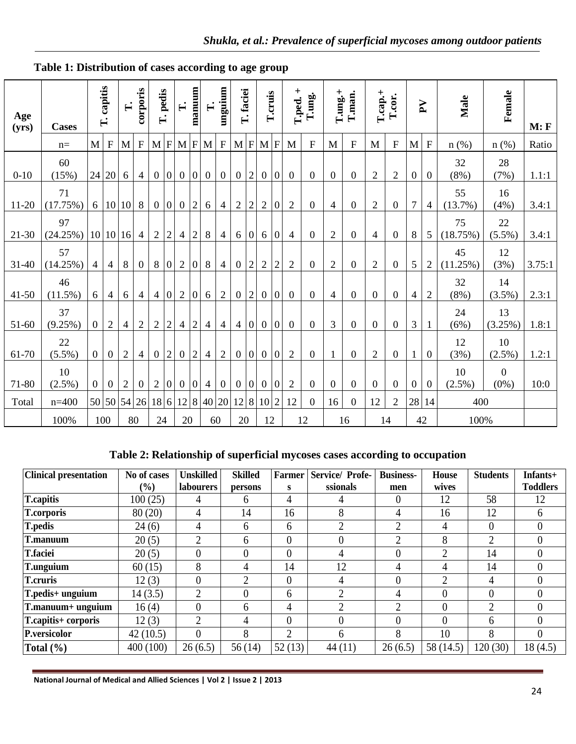| Age<br>(yrs) | <b>Cases</b>     | capitis<br>$\vec{E}$ |                |                |                           | $\mathbf{L}$     | corporis       | pedis<br>$\mathbf{H}$ |                | $\mathbf{L}$   | manuum           | $\mathbf{F}$     | mguium           | T. faciei        |                | T.cruis          |                  | $T$ .ped. +    | T.ung.                    | $T.\text{ung.}+$ | T.man.         |                  | $T.cap.+$<br>T.cor.       |                 | $\mathbf{Y}$            | Male   | Female | M: F |
|--------------|------------------|----------------------|----------------|----------------|---------------------------|------------------|----------------|-----------------------|----------------|----------------|------------------|------------------|------------------|------------------|----------------|------------------|------------------|----------------|---------------------------|------------------|----------------|------------------|---------------------------|-----------------|-------------------------|--------|--------|------|
|              | $n=$             | M                    | $\mathbf F$    | M              | $\boldsymbol{\mathrm{F}}$ | M                | F              | M                     | $\mathbf F$    | M              | ${\bf F}$        |                  |                  | $M$ $F$ $M$ $F$  |                | M                | $\overline{F}$   | M              | $\boldsymbol{\mathrm{F}}$ | $\mathbf M$      | ${\bf F}$      | $\mathbf M$      | $\boldsymbol{\mathrm{F}}$ | $n$ (%)         | $n$ (%)                 | Ratio  |        |      |
| $0 - 10$     | 60<br>(15%)      |                      | 24 20          | 6              | 4                         | $\overline{0}$   | $\mathbf{0}$   | $\mathbf{0}$          | $\overline{0}$ | $\mathbf{0}$   | $\overline{0}$   | $\boldsymbol{0}$ | $\overline{2}$   | $\overline{0}$   | $\overline{0}$ | $\overline{0}$   | $\overline{0}$   | $\overline{0}$ | $\overline{0}$            | $\overline{2}$   | $\overline{2}$ | $\boldsymbol{0}$ | $\overline{0}$            | 32<br>(8%)      | 28<br>(7%)              | 1.1:1  |        |      |
| $11-20$      | 71<br>(17.75%)   |                      |                | 6 10 10        | 8                         | $\overline{0}$   | $\mathbf{0}$   | $\mathbf{0}$          | $\overline{2}$ | 6              | $\overline{4}$   | $\overline{2}$   | $\overline{2}$   | $\boldsymbol{2}$ | 0              | $\overline{2}$   | $\overline{0}$   | $\overline{4}$ | $\boldsymbol{0}$          | $\overline{2}$   | $\overline{0}$ | $\overline{7}$   | $\overline{4}$            | 55<br>(13.7%)   | 16<br>(4%)              | 3.4:1  |        |      |
| $21-30$      | 97<br>(24.25%)   |                      |                | 10 10 16       | $\overline{4}$            | $\sqrt{2}$       | $\overline{2}$ | $\overline{4}$        | $\overline{2}$ | $8\,$          | $\overline{4}$   | 6                | $\overline{0}$   | 6                | 0              | $\overline{4}$   | $\mathbf{0}$     | $\mathbf{2}$   | $\overline{0}$            | $\overline{4}$   | $\mathbf{0}$   | 8                | 5                         | 75<br>(18.75%)  | 22<br>$(5.5\%)$         | 3.4:1  |        |      |
| $31-40$      | 57<br>(14.25%)   | $\overline{4}$       | $\overline{4}$ | 8              | $\overline{0}$            | 8                | $\overline{0}$ | $\overline{2}$        | $\overline{0}$ | 8              | $\overline{4}$   | $\mathbf{0}$     | $\overline{2}$   | $\overline{2}$   | $\overline{2}$ | $\overline{2}$   | $\overline{0}$   | $\overline{2}$ | $\overline{0}$            | $\overline{2}$   | $\overline{0}$ | 5                | $\overline{2}$            | 45<br>(11.25%)  | 12<br>(3%)              | 3.75:1 |        |      |
| $41 - 50$    | 46<br>$(11.5\%)$ | 6                    | $\overline{4}$ | 6              | $\overline{4}$            | $\overline{4}$   | $\overline{0}$ | $\overline{2}$        | $\overline{0}$ | 6              | $\overline{2}$   | $\mathbf{0}$     | $\overline{2}$   | $\overline{0}$   | $\mathbf{0}$   | $\overline{0}$   | $\theta$         | $\overline{4}$ | $\overline{0}$            | $\overline{0}$   | $\overline{0}$ | $\overline{4}$   | $\overline{2}$            | 32<br>$(8\%)$   | 14<br>$(3.5\%)$         | 2.3:1  |        |      |
| 51-60        | 37<br>(9.25%)    | $\overline{0}$       | $\overline{2}$ | $\overline{4}$ | $\overline{2}$            | $\overline{2}$   | $\overline{2}$ | 4                     | $\overline{2}$ | $\overline{4}$ | $\overline{4}$   | $\overline{4}$   | $\overline{0}$   | $\overline{0}$   | $\overline{0}$ | $\boldsymbol{0}$ | $\mathbf{0}$     | 3              | $\boldsymbol{0}$          | $\mathbf{0}$     | $\mathbf{0}$   | 3                |                           | 24<br>(6%)      | 13<br>(3.25%)           | 1.8:1  |        |      |
| 61-70        | 22<br>$(5.5\%)$  | $\overline{0}$       | $\overline{0}$ | $\overline{2}$ | 4                         | $\boldsymbol{0}$ | $\overline{2}$ | $\overline{0}$        | $\overline{2}$ | $\overline{4}$ | $\overline{2}$   | $\overline{0}$   | $\boldsymbol{0}$ | $\overline{0}$   | $\overline{0}$ | $\overline{2}$   | $\boldsymbol{0}$ | $\mathbf{1}$   | $\overline{0}$            | $\overline{2}$   | $\mathbf{0}$   | $\mathbf{1}$     | $\overline{0}$            | 12<br>(3%)      | 10<br>$(2.5\%)$         | 1.2:1  |        |      |
| 71-80        | 10<br>$(2.5\%)$  | $\mathbf{0}$         | $\overline{0}$ | $\overline{2}$ | $\overline{0}$            | $\overline{2}$   | $\overline{0}$ | $\boldsymbol{0}$      | $\mathbf{0}$   | $\overline{4}$ | $\boldsymbol{0}$ | $\overline{0}$   | $\overline{0}$   | $\overline{0}$   | $\overline{0}$ | $\overline{2}$   | $\boldsymbol{0}$ | $\mathbf{0}$   | $\boldsymbol{0}$          | $\boldsymbol{0}$ | $\mathbf{0}$   | $\boldsymbol{0}$ | $\boldsymbol{0}$          | 10<br>$(2.5\%)$ | $\mathbf{0}$<br>$(0\%)$ | 10:0   |        |      |
| Total        | $n=400$          |                      |                | 50 50 54 26    |                           | 18 6             |                | $12 \mid 8$           |                | 40 20          |                  |                  |                  | 12 8 10 2        |                | 12               | $\boldsymbol{0}$ | 16             | $\mathbf{0}$              | 12               | $\overline{2}$ | 28               | 14                        | 400             |                         |        |        |      |
|              | 100%             |                      | 100            |                | 80                        | 24               |                | 20                    |                |                | 60               | 20               |                  | 12               |                |                  | 12               |                | 16                        |                  | 14             |                  | 42                        | 100%            |                         |        |        |      |

**Table 1: Distribution of cases according to age group**

### **Table 2: Relationship of superficial mycoses cases according to occupation**

| <b>Clinical presentation</b> | No of cases | <b>Unskilled</b> | <b>Skilled</b> | <b>Farmer</b> | Service/ Profe- | <b>Business-</b> | <b>House</b>   | <b>Students</b>               | Infants+        |
|------------------------------|-------------|------------------|----------------|---------------|-----------------|------------------|----------------|-------------------------------|-----------------|
|                              | (%)         | <b>labourers</b> | persons        | s             | ssionals        | men              | wives          |                               | <b>Toddlers</b> |
| <b>T.capitis</b>             | 100(25)     | 4                | <sub>0</sub>   | 4             |                 | $\overline{0}$   | 12             | 58                            | 12              |
| <b>T.corporis</b>            | 80(20)      | 4                | 14             | 16            | 8               | 4                | 16             | 12                            | 6               |
| <b>T.pedis</b>               | 24(6)       | 4                | 6              | 6             | $\overline{2}$  | $\overline{2}$   | 4              | $\overline{0}$                | 0               |
| T.manuum                     | 20(5)       | $\overline{2}$   | 6              | $\theta$      | $\theta$        | $\overline{2}$   | 8              | $\overline{2}$                | 0               |
| <b>T.faciei</b>              | 20(5)       | $\theta$         | $\Omega$       | $\theta$      | 4               | $\theta$         | 2              | 14                            |                 |
| <b>T.unguium</b>             | 60(15)      | 8                | 4              | 14            | 12              | 4                | 4              | 14                            |                 |
| <b>T.cruris</b>              | 12(3)       | $\theta$         | 2              | $\theta$      | 4               | $\Omega$         | $\mathfrak{D}$ | 4                             |                 |
| T.pedis+ unguium             | 14(3.5)     | $\overline{2}$   | $\Omega$       | 6             | $\overline{2}$  | 4                | $\overline{0}$ | $\theta$                      |                 |
| T.manuum+ unguium            | 16(4)       | $\theta$         | 6              | 4             | $\mathfrak{D}$  | $\mathfrak{D}$   | 0              | $\mathfrak{D}_{\mathfrak{p}}$ |                 |
| T.capitis+ corporis          | 12(3)       | 2                | 4              | $\theta$      | 0               | $\theta$         | $\theta$       | 6                             | 0               |
| P.versicolor                 | 42(10.5)    | $\theta$         | 8              | 2             | 6               | 8                | 10             | 8                             | 0               |
| Total $(\% )$                | 400(100)    | 26(6.5)          | 56(14)         | 52(13)        | 44(11)          | 26(6.5)          | 58 (14.5)      | 120(30)                       | 18(4.5)         |

 $\lfloor$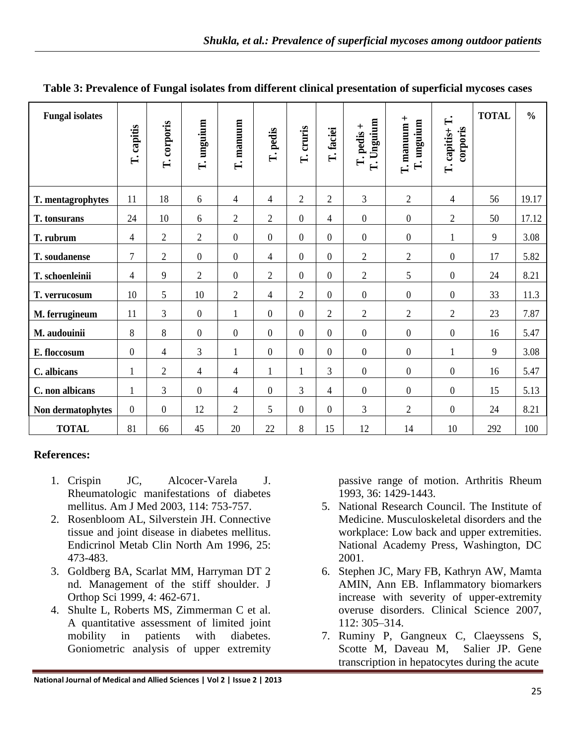| <b>Fungal isolates</b> | T. capitis       | T. corporis    | T. unguium       | T. manuum        | T. pedis         | T. cruris      | T. faciei                | Unguium<br>T. pedis +<br>$\vec{E}$ | $T.$ manuum +<br>T. unguium | $\mathbf{L}$<br>corporis<br>T. capitis+ | <b>TOTAL</b> | $\frac{0}{0}$ |
|------------------------|------------------|----------------|------------------|------------------|------------------|----------------|--------------------------|------------------------------------|-----------------------------|-----------------------------------------|--------------|---------------|
| T. mentagrophytes      | 11               | 18             | $6\,$            | 4                | 4                | $\overline{2}$ | $\overline{2}$           | $\mathfrak{Z}$                     | $\overline{2}$              | 4                                       | 56           | 19.17         |
| T. tonsurans           | 24               | 10             | 6                | $\overline{2}$   | $\mathfrak{2}$   | $\overline{0}$ | 4                        | $\boldsymbol{0}$                   | $\boldsymbol{0}$            | $\overline{2}$                          | 50           | 17.12         |
| T. rubrum              | $\overline{4}$   | $\mathfrak{2}$ | $\overline{2}$   | $\boldsymbol{0}$ | $\boldsymbol{0}$ | $\overline{0}$ | $\boldsymbol{0}$         | $\boldsymbol{0}$                   | $\boldsymbol{0}$            | $\mathbf{1}$                            | 9            | 3.08          |
| T. soudanense          | $\overline{7}$   | $\mathfrak{2}$ | $\theta$         | $\overline{0}$   | $\overline{4}$   | $\overline{0}$ | $\theta$                 | $\overline{2}$                     | $\overline{2}$              | $\overline{0}$                          | 17           | 5.82          |
| T. schoenleinii        | $\overline{4}$   | 9              | $\overline{2}$   | $\boldsymbol{0}$ | $\overline{2}$   | $\overline{0}$ | $\boldsymbol{0}$         | $\overline{2}$                     | 5                           | $\boldsymbol{0}$                        | 24           | 8.21          |
| T. verrucosum          | 10               | 5              | 10               | $\overline{2}$   | $\overline{4}$   | $\overline{2}$ | $\overline{0}$           | $\boldsymbol{0}$                   | $\boldsymbol{0}$            | $\overline{0}$                          | 33           | 11.3          |
| M. ferrugineum         | 11               | 3              | $\boldsymbol{0}$ | $\mathbf{1}$     | $\boldsymbol{0}$ | $\overline{0}$ | $\overline{2}$           | $\overline{2}$                     | $\mathfrak{2}$              | $\overline{2}$                          | 23           | 7.87          |
| M. audouinii           | 8                | 8              | $\boldsymbol{0}$ | $\boldsymbol{0}$ | $\boldsymbol{0}$ | $\overline{0}$ | $\theta$                 | $\boldsymbol{0}$                   | $\boldsymbol{0}$            | $\boldsymbol{0}$                        | 16           | 5.47          |
| E. floccosum           | $\boldsymbol{0}$ | 4              | 3                | $\mathbf{1}$     | $\boldsymbol{0}$ | $\overline{0}$ | $\boldsymbol{0}$         | $\boldsymbol{0}$                   | $\boldsymbol{0}$            | $\mathbf{1}$                            | 9            | 3.08          |
| C. albicans            | $\mathbf{1}$     | $\overline{2}$ | $\overline{4}$   | 4                | 1                | $\mathbf{1}$   | 3                        | $\boldsymbol{0}$                   | $\boldsymbol{0}$            | $\boldsymbol{0}$                        | 16           | 5.47          |
| C. non albicans        | $\mathbf{1}$     | 3              | $\overline{0}$   | $\overline{4}$   | $\boldsymbol{0}$ | 3              | $\overline{\mathcal{L}}$ | $\boldsymbol{0}$                   | $\boldsymbol{0}$            | $\mathbf{0}$                            | 15           | 5.13          |
| Non dermatophytes      | $\mathbf{0}$     | $\theta$       | 12               | $\overline{2}$   | 5                | $\overline{0}$ | $\mathbf{0}$             | 3                                  | $\overline{2}$              | $\mathbf{0}$                            | 24           | 8.21          |
| <b>TOTAL</b>           | 81               | 66             | 45               | 20               | 22               | 8              | 15                       | 12                                 | 14                          | 10                                      | 292          | 100           |

#### **Table 3: Prevalence of Fungal isolates from different clinical presentation of superficial mycoses cases**

#### **References:**

- 1. Crispin JC, Alcocer-Varela J. Rheumatologic manifestations of diabetes mellitus. Am J Med 2003, 114: 753-757.
- 2. Rosenbloom AL, Silverstein JH. Connective tissue and joint disease in diabetes mellitus. Endicrinol Metab Clin North Am 1996, 25: 473-483.
- 3. Goldberg BA, Scarlat MM, Harryman DT 2 nd. Management of the stiff shoulder. J Orthop Sci 1999, 4: 462-671.
- 4. Shulte L, Roberts MS, Zimmerman C et al. A quantitative assessment of limited joint mobility in patients with diabetes. Goniometric analysis of upper extremity

passive range of motion. Arthritis Rheum 1993, 36: 1429-1443.

- 5. National Research Council. The Institute of Medicine. Musculoskeletal disorders and the workplace: Low back and upper extremities. National Academy Press, Washington, DC 2001.
- 6. Stephen JC, Mary FB, Kathryn AW, Mamta AMIN, Ann EB. Inflammatory biomarkers increase with severity of upper-extremity overuse disorders. Clinical Science 2007, 112: 305–314.
- 7. Ruminy P, Gangneux C, Claeyssens S, Scotte M, Daveau M, Salier JP. Gene transcription in hepatocytes during the acute